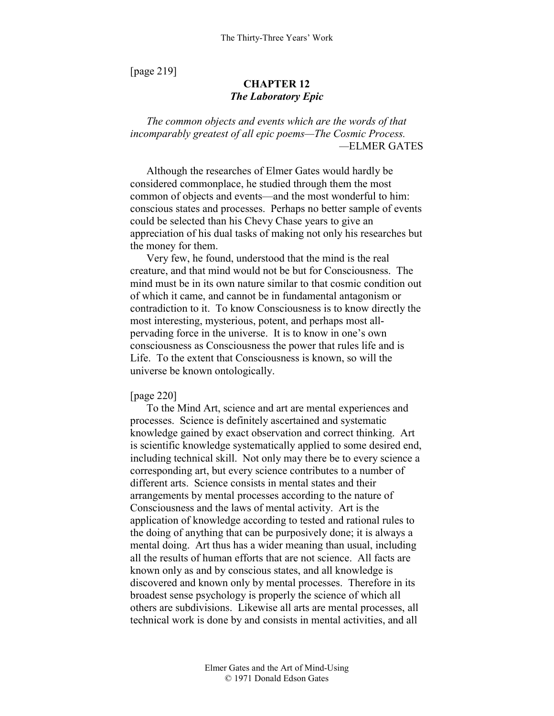[page 219]

# **CHAPTER 12**  *The Laboratory Epic*

*The common objects and events which are the words of that incomparably greatest of all epic poems—The Cosmic Process. —*ELMER GATES

Although the researches of Elmer Gates would hardly be considered commonplace, he studied through them the most common of objects and events—and the most wonderful to him: conscious states and processes. Perhaps no better sample of events could be selected than his Chevy Chase years to give an appreciation of his dual tasks of making not only his researches but the money for them.

Very few, he found, understood that the mind is the real creature, and that mind would not be but for Consciousness. The mind must be in its own nature similar to that cosmic condition out of which it came, and cannot be in fundamental antagonism or contradiction to it. To know Consciousness is to know directly the most interesting, mysterious, potent, and perhaps most allpervading force in the universe. It is to know in one's own consciousness as Consciousness the power that rules life and is Life. To the extent that Consciousness is known, so will the universe be known ontologically.

### [page 220]

To the Mind Art, science and art are mental experiences and processes. Science is definitely ascertained and systematic knowledge gained by exact observation and correct thinking. Art is scientific knowledge systematically applied to some desired end, including technical skill. Not only may there be to every science a corresponding art, but every science contributes to a number of different arts. Science consists in mental states and their arrangements by mental processes according to the nature of Consciousness and the laws of mental activity. Art is the application of knowledge according to tested and rational rules to the doing of anything that can be purposively done; it is always a mental doing. Art thus has a wider meaning than usual, including all the results of human efforts that are not science. All facts are known only as and by conscious states, and all knowledge is discovered and known only by mental processes. Therefore in its broadest sense psychology is properly the science of which all others are subdivisions. Likewise all arts are mental processes, all technical work is done by and consists in mental activities, and all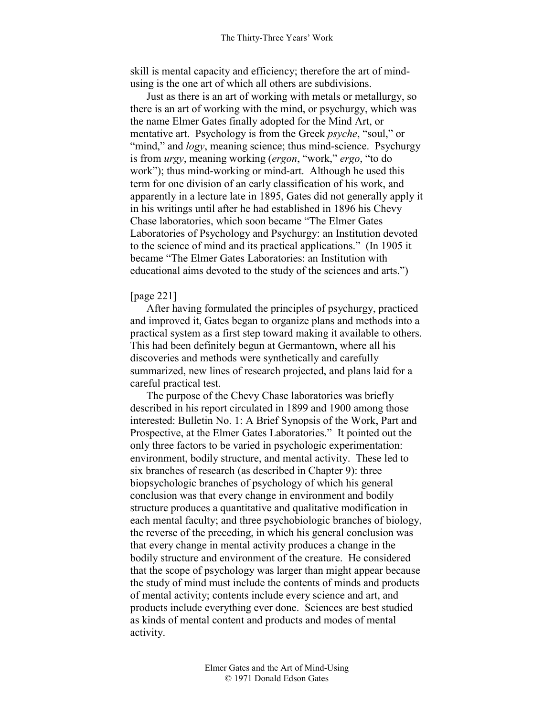skill is mental capacity and efficiency; therefore the art of mindusing is the one art of which all others are subdivisions.

Just as there is an art of working with metals or metallurgy, so there is an art of working with the mind, or psychurgy, which was the name Elmer Gates finally adopted for the Mind Art, or mentative art. Psychology is from the Greek *psyche*, "soul," or "mind," and *logy*, meaning science; thus mind-science. Psychurgy is from *urgy*, meaning working (*ergon*, "work," *ergo*, "to do work"); thus mind-working or mind-art. Although he used this term for one division of an early classification of his work, and apparently in a lecture late in 1895, Gates did not generally apply it in his writings until after he had established in 1896 his Chevy Chase laboratories, which soon became "The Elmer Gates Laboratories of Psychology and Psychurgy: an Institution devoted to the science of mind and its practical applications." (In 1905 it became "The Elmer Gates Laboratories: an Institution with educational aims devoted to the study of the sciences and arts.")

### [page 221]

After having formulated the principles of psychurgy, practiced and improved it, Gates began to organize plans and methods into a practical system as a first step toward making it available to others. This had been definitely begun at Germantown, where all his discoveries and methods were synthetically and carefully summarized, new lines of research projected, and plans laid for a careful practical test.

The purpose of the Chevy Chase laboratories was briefly described in his report circulated in 1899 and 1900 among those interested: Bulletin No. 1: A Brief Synopsis of the Work, Part and Prospective, at the Elmer Gates Laboratories." It pointed out the only three factors to be varied in psychologic experimentation: environment, bodily structure, and mental activity. These led to six branches of research (as described in Chapter 9): three biopsychologic branches of psychology of which his general conclusion was that every change in environment and bodily structure produces a quantitative and qualitative modification in each mental faculty; and three psychobiologic branches of biology, the reverse of the preceding, in which his general conclusion was that every change in mental activity produces a change in the bodily structure and environment of the creature. He considered that the scope of psychology was larger than might appear because the study of mind must include the contents of minds and products of mental activity; contents include every science and art, and products include everything ever done. Sciences are best studied as kinds of mental content and products and modes of mental activity.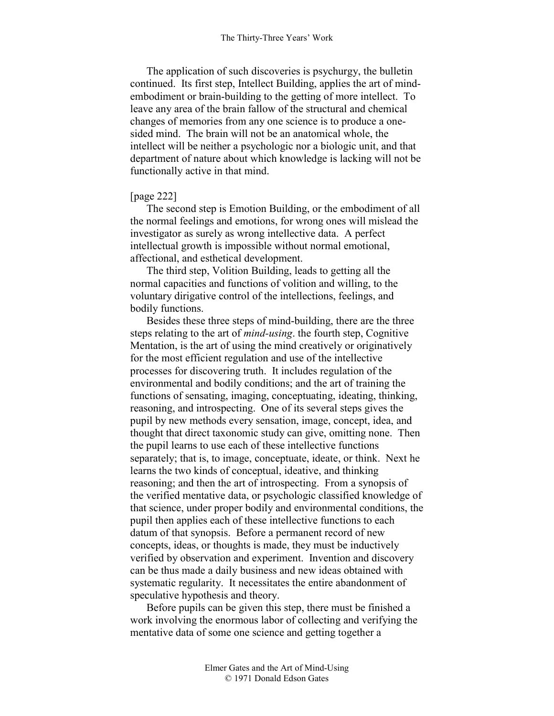The application of such discoveries is psychurgy, the bulletin continued. Its first step, Intellect Building, applies the art of mindembodiment or brain-building to the getting of more intellect. To leave any area of the brain fallow of the structural and chemical changes of memories from any one science is to produce a onesided mind. The brain will not be an anatomical whole, the intellect will be neither a psychologic nor a biologic unit, and that department of nature about which knowledge is lacking will not be functionally active in that mind.

## [page 222]

The second step is Emotion Building, or the embodiment of all the normal feelings and emotions, for wrong ones will mislead the investigator as surely as wrong intellective data. A perfect intellectual growth is impossible without normal emotional, affectional, and esthetical development.

The third step, Volition Building, leads to getting all the normal capacities and functions of volition and willing, to the voluntary dirigative control of the intellections, feelings, and bodily functions.

Besides these three steps of mind-building, there are the three steps relating to the art of *mind-using*. the fourth step, Cognitive Mentation, is the art of using the mind creatively or originatively for the most efficient regulation and use of the intellective processes for discovering truth. It includes regulation of the environmental and bodily conditions; and the art of training the functions of sensating, imaging, conceptuating, ideating, thinking, reasoning, and introspecting. One of its several steps gives the pupil by new methods every sensation, image, concept, idea, and thought that direct taxonomic study can give, omitting none. Then the pupil learns to use each of these intellective functions separately; that is, to image, conceptuate, ideate, or think. Next he learns the two kinds of conceptual, ideative, and thinking reasoning; and then the art of introspecting. From a synopsis of the verified mentative data, or psychologic classified knowledge of that science, under proper bodily and environmental conditions, the pupil then applies each of these intellective functions to each datum of that synopsis. Before a permanent record of new concepts, ideas, or thoughts is made, they must be inductively verified by observation and experiment. Invention and discovery can be thus made a daily business and new ideas obtained with systematic regularity. It necessitates the entire abandonment of speculative hypothesis and theory.

Before pupils can be given this step, there must be finished a work involving the enormous labor of collecting and verifying the mentative data of some one science and getting together a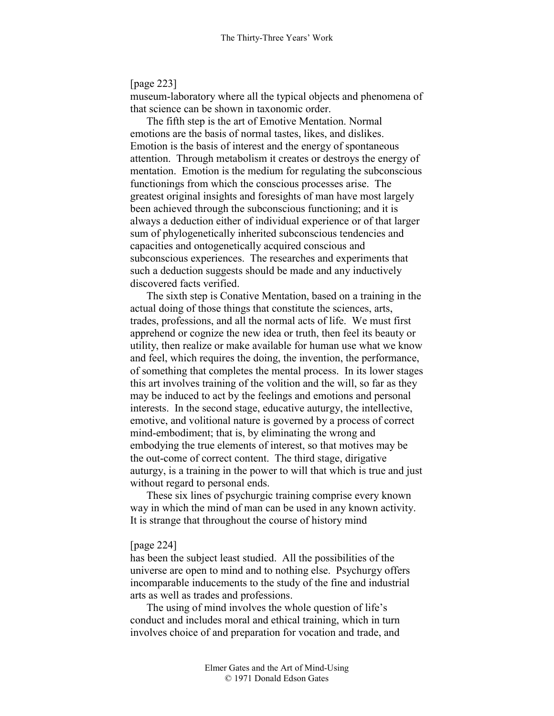# [page 223]

museum-laboratory where all the typical objects and phenomena of that science can be shown in taxonomic order.

The fifth step is the art of Emotive Mentation. Normal emotions are the basis of normal tastes, likes, and dislikes. Emotion is the basis of interest and the energy of spontaneous attention. Through metabolism it creates or destroys the energy of mentation. Emotion is the medium for regulating the subconscious functionings from which the conscious processes arise. The greatest original insights and foresights of man have most largely been achieved through the subconscious functioning; and it is always a deduction either of individual experience or of that larger sum of phylogenetically inherited subconscious tendencies and capacities and ontogenetically acquired conscious and subconscious experiences. The researches and experiments that such a deduction suggests should be made and any inductively discovered facts verified.

The sixth step is Conative Mentation, based on a training in the actual doing of those things that constitute the sciences, arts, trades, professions, and all the normal acts of life. We must first apprehend or cognize the new idea or truth, then feel its beauty or utility, then realize or make available for human use what we know and feel, which requires the doing, the invention, the performance, of something that completes the mental process. In its lower stages this art involves training of the volition and the will, so far as they may be induced to act by the feelings and emotions and personal interests. In the second stage, educative auturgy, the intellective, emotive, and volitional nature is governed by a process of correct mind-embodiment; that is, by eliminating the wrong and embodying the true elements of interest, so that motives may be the out-come of correct content. The third stage, dirigative auturgy, is a training in the power to will that which is true and just without regard to personal ends.

These six lines of psychurgic training comprise every known way in which the mind of man can be used in any known activity. It is strange that throughout the course of history mind

### [page 224]

has been the subject least studied. All the possibilities of the universe are open to mind and to nothing else. Psychurgy offers incomparable inducements to the study of the fine and industrial arts as well as trades and professions.

The using of mind involves the whole question of life's conduct and includes moral and ethical training, which in turn involves choice of and preparation for vocation and trade, and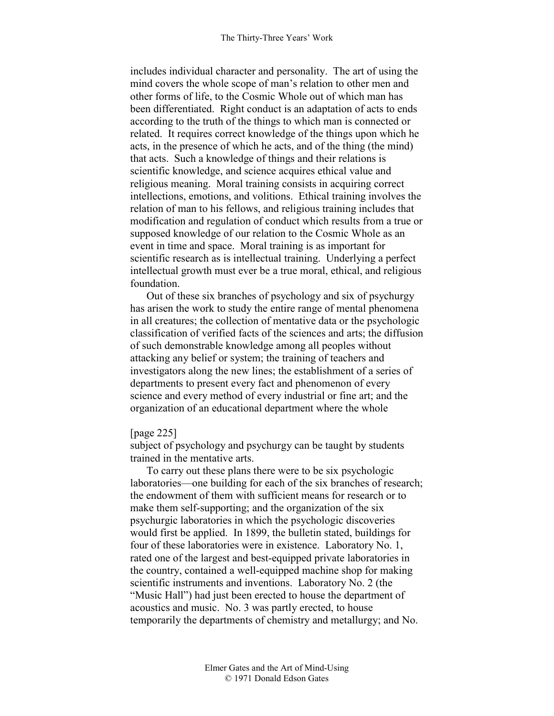includes individual character and personality. The art of using the mind covers the whole scope of man's relation to other men and other forms of life, to the Cosmic Whole out of which man has been differentiated. Right conduct is an adaptation of acts to ends according to the truth of the things to which man is connected or related. It requires correct knowledge of the things upon which he acts, in the presence of which he acts, and of the thing (the mind) that acts. Such a knowledge of things and their relations is scientific knowledge, and science acquires ethical value and religious meaning. Moral training consists in acquiring correct intellections, emotions, and volitions. Ethical training involves the relation of man to his fellows, and religious training includes that modification and regulation of conduct which results from a true or supposed knowledge of our relation to the Cosmic Whole as an event in time and space. Moral training is as important for scientific research as is intellectual training. Underlying a perfect intellectual growth must ever be a true moral, ethical, and religious foundation.

Out of these six branches of psychology and six of psychurgy has arisen the work to study the entire range of mental phenomena in all creatures; the collection of mentative data or the psychologic classification of verified facts of the sciences and arts; the diffusion of such demonstrable knowledge among all peoples without attacking any belief or system; the training of teachers and investigators along the new lines; the establishment of a series of departments to present every fact and phenomenon of every science and every method of every industrial or fine art; and the organization of an educational department where the whole

## [page 225]

subject of psychology and psychurgy can be taught by students trained in the mentative arts.

To carry out these plans there were to be six psychologic laboratories—one building for each of the six branches of research; the endowment of them with sufficient means for research or to make them self-supporting; and the organization of the six psychurgic laboratories in which the psychologic discoveries would first be applied. In 1899, the bulletin stated, buildings for four of these laboratories were in existence. Laboratory No. 1, rated one of the largest and best-equipped private laboratories in the country, contained a well-equipped machine shop for making scientific instruments and inventions. Laboratory No. 2 (the "Music Hall") had just been erected to house the department of acoustics and music. No. 3 was partly erected, to house temporarily the departments of chemistry and metallurgy; and No.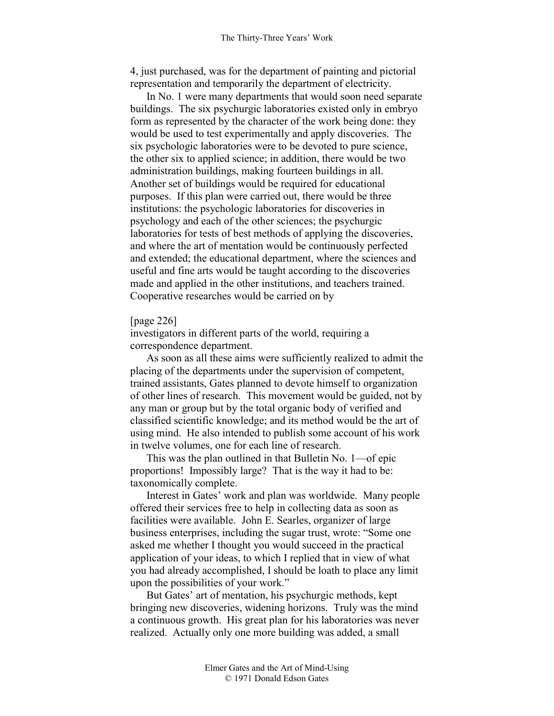4, just purchased, was for the department of painting and pictorial representation and temporarily the department of electricity.

In No. 1 were many departments that would soon need separate buildings. The six psychurgic laboratories existed only in embryo form as represented by the character of the work being done: they would be used to test experimentally and apply discoveries. The six psychologic laboratories were to be devoted to pure science, the other six to applied science; in addition, there would be two administration buildings, making fourteen buildings in all. Another set of buildings would be required for educational purposes. If this plan were carried out, there would be three institutions: the psychologic laboratories for discoveries in psychology and each of the other sciences; the psychurgic laboratories for tests of best methods of applying the discoveries, and where the art of mentation would be continuously perfected and extended; the educational department, where the sciences and useful and fine arts would be taught according to the discoveries made and applied in the other institutions, and teachers trained. Cooperative researches would be carried on by

### [page 226]

investigators in different parts of the world, requiring a correspondence department.

As soon as all these aims were sufficiently realized to admit the placing of the departments under the supervision of competent, trained assistants, Gates planned to devote himself to organization of other lines of research. This movement would be guided, not by any man or group but by the total organic body of verified and classified scientific knowledge; and its method would be the art of using mind. He also intended to publish some account of his work in twelve volumes, one for each line of research.

This was the plan outlined in that Bulletin No. 1—of epic proportions! Impossibly large? That is the way it had to be: taxonomically complete.

Interest in Gates' work and plan was worldwide. Many people offered their services free to help in collecting data as soon as facilities were available. John E. Searles, organizer of large business enterprises, including the sugar trust, wrote: "Some one asked me whether I thought you would succeed in the practical application of your ideas, to which I replied that in view of what you had already accomplished, I should be loath to place any limit upon the possibilities of your work."

But Gates' art of mentation, his psychurgic methods, kept bringing new discoveries, widening horizons. Truly was the mind a continuous growth. His great plan for his laboratories was never realized. Actually only one more building was added, a small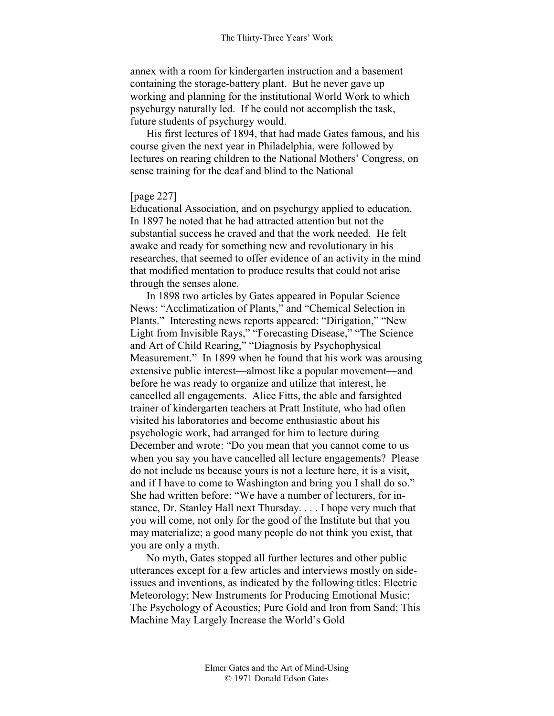annex with a room for kindergarten instruction and a basement containing the storage-battery plant. But he never gave up working and planning for the institutional World Work to which psychurgy naturally led. If he could not accomplish the task, future students of psychurgy would.

His first lectures of 1894, that had made Gates famous, and his course given the next year in Philadelphia, were followed by lectures on rearing children to the National Mothers' Congress, on sense training for the deaf and blind to the National

# [page 227]

Educational Association, and on psychurgy applied to education. In 1897 he noted that he had attracted attention but not the substantial success he craved and that the work needed. He felt awake and ready for something new and revolutionary in his researches, that seemed to offer evidence of an activity in the mind that modified mentation to produce results that could not arise through the senses alone.

In 1898 two articles by Gates appeared in Popular Science News: "Acclimatization of Plants," and "Chemical Selection in Plants." Interesting news reports appeared: "Dirigation," "New Light from Invisible Rays," "Forecasting Disease," "The Science and Art of Child Rearing," "Diagnosis by Psychophysical Measurement." In 1899 when he found that his work was arousing extensive public interest—almost like a popular movement—and before he was ready to organize and utilize that interest, he cancelled all engagements. Alice Fitts, the able and farsighted trainer of kindergarten teachers at Pratt Institute, who had often visited his laboratories and become enthusiastic about his psychologic work, had arranged for him to lecture during December and wrote: "Do you mean that you cannot come to us when you say you have cancelled all lecture engagements? Please do not include us because yours is not a lecture here, it is a visit, and if I have to come to Washington and bring you I shall do so." She had written before: "We have a number of lecturers, for instance, Dr. Stanley Hall next Thursday. . . . I hope very much that you will come, not only for the good of the Institute but that you may materialize; a good many people do not think you exist, that you are only a myth.

No myth, Gates stopped all further lectures and other public utterances except for a few articles and interviews mostly on sideissues and inventions, as indicated by the following titles: Electric Meteorology; New Instruments for Producing Emotional Music; The Psychology of Acoustics; Pure Gold and Iron from Sand; This Machine May Largely Increase the World's Gold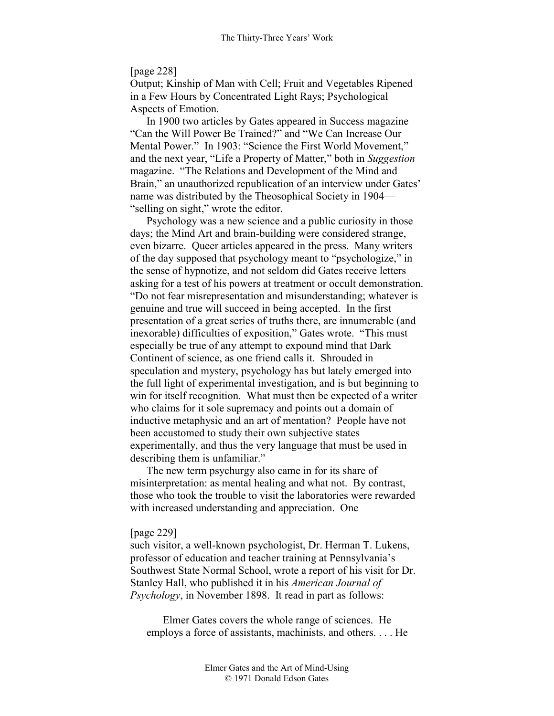## [page 228]

Output; Kinship of Man with Cell; Fruit and Vegetables Ripened in a Few Hours by Concentrated Light Rays; Psychological Aspects of Emotion.

In 1900 two articles by Gates appeared in Success magazine "Can the Will Power Be Trained?" and "We Can Increase Our Mental Power." In 1903: "Science the First World Movement," and the next year, "Life a Property of Matter," both in *Suggestion*  magazine. "The Relations and Development of the Mind and Brain," an unauthorized republication of an interview under Gates' name was distributed by the Theosophical Society in 1904— "selling on sight," wrote the editor.

Psychology was a new science and a public curiosity in those days; the Mind Art and brain-building were considered strange, even bizarre. Queer articles appeared in the press. Many writers of the day supposed that psychology meant to "psychologize," in the sense of hypnotize, and not seldom did Gates receive letters asking for a test of his powers at treatment or occult demonstration. "Do not fear misrepresentation and misunderstanding; whatever is genuine and true will succeed in being accepted. In the first presentation of a great series of truths there, are innumerable (and inexorable) difficulties of exposition," Gates wrote. "This must especially be true of any attempt to expound mind that Dark Continent of science, as one friend calls it. Shrouded in speculation and mystery, psychology has but lately emerged into the full light of experimental investigation, and is but beginning to win for itself recognition. What must then be expected of a writer who claims for it sole supremacy and points out a domain of inductive metaphysic and an art of mentation? People have not been accustomed to study their own subjective states experimentally, and thus the very language that must be used in describing them is unfamiliar."

The new term psychurgy also came in for its share of misinterpretation: as mental healing and what not. By contrast, those who took the trouble to visit the laboratories were rewarded with increased understanding and appreciation. One

### [page 229]

such visitor, a well-known psychologist, Dr. Herman T. Lukens, professor of education and teacher training at Pennsylvania's Southwest State Normal School, wrote a report of his visit for Dr. Stanley Hall, who published it in his *American Journal of Psychology*, in November 1898. It read in part as follows:

Elmer Gates covers the whole range of sciences. He employs a force of assistants, machinists, and others. . . . He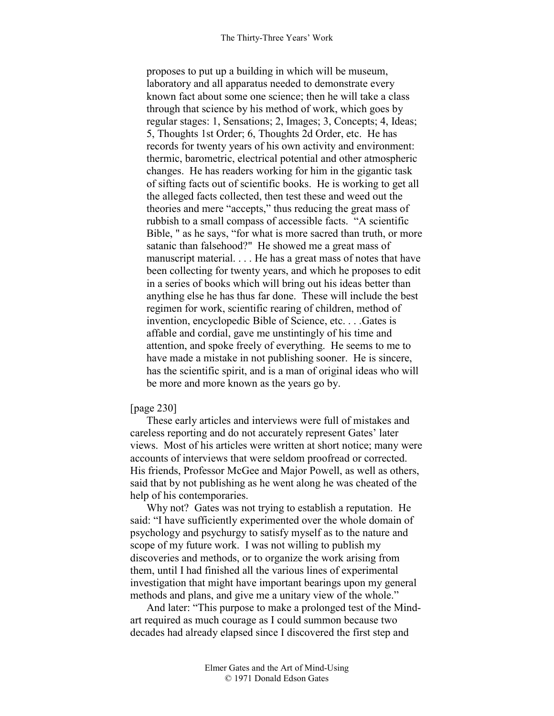proposes to put up a building in which will be museum, laboratory and all apparatus needed to demonstrate every known fact about some one science; then he will take a class through that science by his method of work, which goes by regular stages: 1, Sensations; 2, Images; 3, Concepts; 4, Ideas; 5, Thoughts 1st Order; 6, Thoughts 2d Order, etc. He has records for twenty years of his own activity and environment: thermic, barometric, electrical potential and other atmospheric changes. He has readers working for him in the gigantic task of sifting facts out of scientific books. He is working to get all the alleged facts collected, then test these and weed out the theories and mere "accepts," thus reducing the great mass of rubbish to a small compass of accessible facts. "A scientific Bible, " as he says, "for what is more sacred than truth, or more satanic than falsehood?" He showed me a great mass of manuscript material. . . . He has a great mass of notes that have been collecting for twenty years, and which he proposes to edit in a series of books which will bring out his ideas better than anything else he has thus far done. These will include the best regimen for work, scientific rearing of children, method of invention, encyclopedic Bible of Science, etc. . . .Gates is affable and cordial, gave me unstintingly of his time and attention, and spoke freely of everything. He seems to me to have made a mistake in not publishing sooner. He is sincere, has the scientific spirit, and is a man of original ideas who will be more and more known as the years go by.

#### [page 230]

These early articles and interviews were full of mistakes and careless reporting and do not accurately represent Gates' later views. Most of his articles were written at short notice; many were accounts of interviews that were seldom proofread or corrected. His friends, Professor McGee and Major Powell, as well as others, said that by not publishing as he went along he was cheated of the help of his contemporaries.

Why not? Gates was not trying to establish a reputation. He said: "I have sufficiently experimented over the whole domain of psychology and psychurgy to satisfy myself as to the nature and scope of my future work. I was not willing to publish my discoveries and methods, or to organize the work arising from them, until I had finished all the various lines of experimental investigation that might have important bearings upon my general methods and plans, and give me a unitary view of the whole."

And later: "This purpose to make a prolonged test of the Mindart required as much courage as I could summon because two decades had already elapsed since I discovered the first step and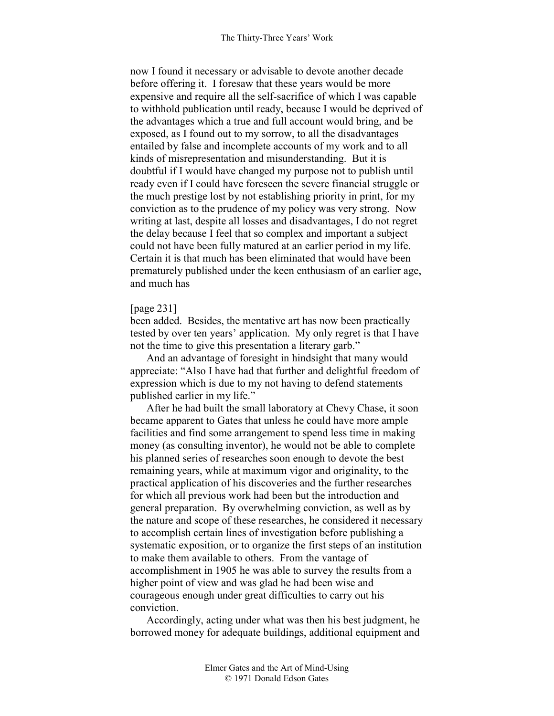now I found it necessary or advisable to devote another decade before offering it. I foresaw that these years would be more expensive and require all the self-sacrifice of which I was capable to withhold publication until ready, because I would be deprived of the advantages which a true and full account would bring, and be exposed, as I found out to my sorrow, to all the disadvantages entailed by false and incomplete accounts of my work and to all kinds of misrepresentation and misunderstanding. But it is doubtful if I would have changed my purpose not to publish until ready even if I could have foreseen the severe financial struggle or the much prestige lost by not establishing priority in print, for my conviction as to the prudence of my policy was very strong. Now writing at last, despite all losses and disadvantages, I do not regret the delay because I feel that so complex and important a subject could not have been fully matured at an earlier period in my life. Certain it is that much has been eliminated that would have been prematurely published under the keen enthusiasm of an earlier age, and much has

## [page 231]

been added. Besides, the mentative art has now been practically tested by over ten years' application. My only regret is that I have not the time to give this presentation a literary garb."

And an advantage of foresight in hindsight that many would appreciate: "Also I have had that further and delightful freedom of expression which is due to my not having to defend statements published earlier in my life."

After he had built the small laboratory at Chevy Chase, it soon became apparent to Gates that unless he could have more ample facilities and find some arrangement to spend less time in making money (as consulting inventor), he would not be able to complete his planned series of researches soon enough to devote the best remaining years, while at maximum vigor and originality, to the practical application of his discoveries and the further researches for which all previous work had been but the introduction and general preparation. By overwhelming conviction, as well as by the nature and scope of these researches, he considered it necessary to accomplish certain lines of investigation before publishing a systematic exposition, or to organize the first steps of an institution to make them available to others. From the vantage of accomplishment in 1905 he was able to survey the results from a higher point of view and was glad he had been wise and courageous enough under great difficulties to carry out his conviction.

Accordingly, acting under what was then his best judgment, he borrowed money for adequate buildings, additional equipment and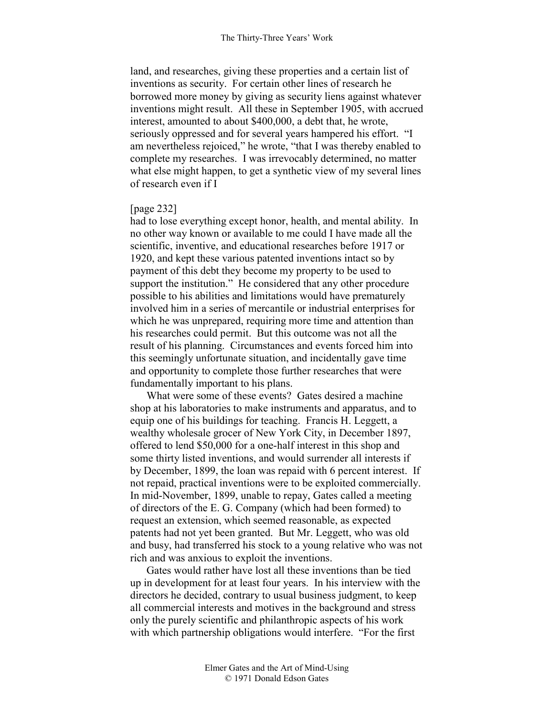land, and researches, giving these properties and a certain list of inventions as security. For certain other lines of research he borrowed more money by giving as security liens against whatever inventions might result. All these in September 1905, with accrued interest, amounted to about \$400,000, a debt that, he wrote, seriously oppressed and for several years hampered his effort. "I am nevertheless rejoiced," he wrote, "that I was thereby enabled to complete my researches. I was irrevocably determined, no matter what else might happen, to get a synthetic view of my several lines of research even if I

# [page 232]

had to lose everything except honor, health, and mental ability. In no other way known or available to me could I have made all the scientific, inventive, and educational researches before 1917 or 1920, and kept these various patented inventions intact so by payment of this debt they become my property to be used to support the institution." He considered that any other procedure possible to his abilities and limitations would have prematurely involved him in a series of mercantile or industrial enterprises for which he was unprepared, requiring more time and attention than his researches could permit. But this outcome was not all the result of his planning. Circumstances and events forced him into this seemingly unfortunate situation, and incidentally gave time and opportunity to complete those further researches that were fundamentally important to his plans.

What were some of these events? Gates desired a machine shop at his laboratories to make instruments and apparatus, and to equip one of his buildings for teaching. Francis H. Leggett, a wealthy wholesale grocer of New York City, in December 1897, offered to lend \$50,000 for a one-half interest in this shop and some thirty listed inventions, and would surrender all interests if by December, 1899, the loan was repaid with 6 percent interest. If not repaid, practical inventions were to be exploited commercially. In mid-November, 1899, unable to repay, Gates called a meeting of directors of the E. G. Company (which had been formed) to request an extension, which seemed reasonable, as expected patents had not yet been granted. But Mr. Leggett, who was old and busy, had transferred his stock to a young relative who was not rich and was anxious to exploit the inventions.

Gates would rather have lost all these inventions than be tied up in development for at least four years. In his interview with the directors he decided, contrary to usual business judgment, to keep all commercial interests and motives in the background and stress only the purely scientific and philanthropic aspects of his work with which partnership obligations would interfere. "For the first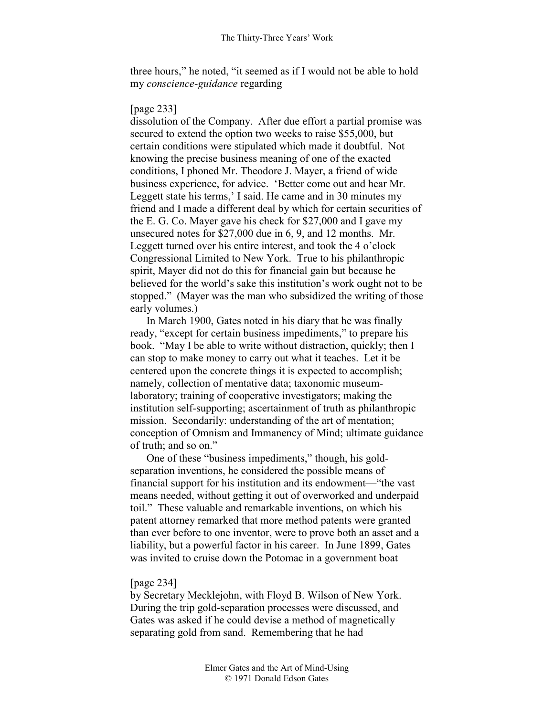three hours," he noted, "it seemed as if I would not be able to hold my *conscience-guidance* regarding

# [page 233]

dissolution of the Company. After due effort a partial promise was secured to extend the option two weeks to raise \$55,000, but certain conditions were stipulated which made it doubtful. Not knowing the precise business meaning of one of the exacted conditions, I phoned Mr. Theodore J. Mayer, a friend of wide business experience, for advice. 'Better come out and hear Mr. Leggett state his terms,' I said. He came and in 30 minutes my friend and I made a different deal by which for certain securities of the E. G. Co. Mayer gave his check for \$27,000 and I gave my unsecured notes for \$27,000 due in 6, 9, and 12 months. Mr. Leggett turned over his entire interest, and took the 4 o'clock Congressional Limited to New York. True to his philanthropic spirit, Mayer did not do this for financial gain but because he believed for the world's sake this institution's work ought not to be stopped." (Mayer was the man who subsidized the writing of those early volumes.)

In March 1900, Gates noted in his diary that he was finally ready, "except for certain business impediments," to prepare his book. "May I be able to write without distraction, quickly; then I can stop to make money to carry out what it teaches. Let it be centered upon the concrete things it is expected to accomplish; namely, collection of mentative data; taxonomic museumlaboratory; training of cooperative investigators; making the institution self-supporting; ascertainment of truth as philanthropic mission. Secondarily: understanding of the art of mentation; conception of Omnism and Immanency of Mind; ultimate guidance of truth; and so on."

One of these "business impediments," though, his goldseparation inventions, he considered the possible means of financial support for his institution and its endowment—"the vast means needed, without getting it out of overworked and underpaid toil." These valuable and remarkable inventions, on which his patent attorney remarked that more method patents were granted than ever before to one inventor, were to prove both an asset and a liability, but a powerful factor in his career. In June 1899, Gates was invited to cruise down the Potomac in a government boat

# [page 234]

by Secretary Mecklejohn, with Floyd B. Wilson of New York. During the trip gold-separation processes were discussed, and Gates was asked if he could devise a method of magnetically separating gold from sand. Remembering that he had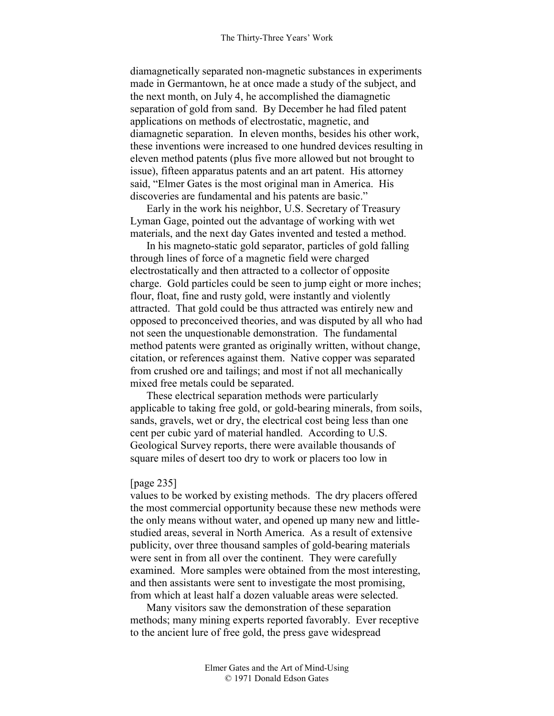diamagnetically separated non-magnetic substances in experiments made in Germantown, he at once made a study of the subject, and the next month, on July 4, he accomplished the diamagnetic separation of gold from sand. By December he had filed patent applications on methods of electrostatic, magnetic, and diamagnetic separation. In eleven months, besides his other work, these inventions were increased to one hundred devices resulting in eleven method patents (plus five more allowed but not brought to issue), fifteen apparatus patents and an art patent. His attorney said, "Elmer Gates is the most original man in America. His discoveries are fundamental and his patents are basic."

Early in the work his neighbor, U.S. Secretary of Treasury Lyman Gage, pointed out the advantage of working with wet materials, and the next day Gates invented and tested a method.

In his magneto-static gold separator, particles of gold falling through lines of force of a magnetic field were charged electrostatically and then attracted to a collector of opposite charge. Gold particles could be seen to jump eight or more inches; flour, float, fine and rusty gold, were instantly and violently attracted. That gold could be thus attracted was entirely new and opposed to preconceived theories, and was disputed by all who had not seen the unquestionable demonstration. The fundamental method patents were granted as originally written, without change, citation, or references against them. Native copper was separated from crushed ore and tailings; and most if not all mechanically mixed free metals could be separated.

These electrical separation methods were particularly applicable to taking free gold, or gold-bearing minerals, from soils, sands, gravels, wet or dry, the electrical cost being less than one cent per cubic yard of material handled. According to U.S. Geological Survey reports, there were available thousands of square miles of desert too dry to work or placers too low in

#### [page 235]

values to be worked by existing methods. The dry placers offered the most commercial opportunity because these new methods were the only means without water, and opened up many new and littlestudied areas, several in North America. As a result of extensive publicity, over three thousand samples of gold-bearing materials were sent in from all over the continent. They were carefully examined. More samples were obtained from the most interesting, and then assistants were sent to investigate the most promising, from which at least half a dozen valuable areas were selected.

Many visitors saw the demonstration of these separation methods; many mining experts reported favorably. Ever receptive to the ancient lure of free gold, the press gave widespread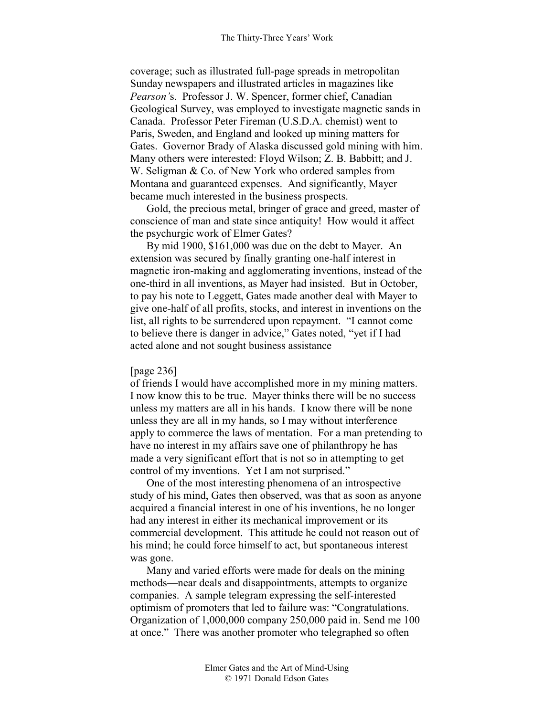coverage; such as illustrated full-page spreads in metropolitan Sunday newspapers and illustrated articles in magazines like *Pearson'*s. Professor J. W. Spencer, former chief, Canadian Geological Survey, was employed to investigate magnetic sands in Canada. Professor Peter Fireman (U.S.D.A. chemist) went to Paris, Sweden, and England and looked up mining matters for Gates. Governor Brady of Alaska discussed gold mining with him. Many others were interested: Floyd Wilson; Z. B. Babbitt; and J. W. Seligman & Co. of New York who ordered samples from Montana and guaranteed expenses. And significantly, Mayer became much interested in the business prospects.

Gold, the precious metal, bringer of grace and greed, master of conscience of man and state since antiquity! How would it affect the psychurgic work of Elmer Gates?

By mid 1900, \$161,000 was due on the debt to Mayer. An extension was secured by finally granting one-half interest in magnetic iron-making and agglomerating inventions, instead of the one-third in all inventions, as Mayer had insisted. But in October, to pay his note to Leggett, Gates made another deal with Mayer to give one-half of all profits, stocks, and interest in inventions on the list, all rights to be surrendered upon repayment. "I cannot come to believe there is danger in advice," Gates noted, "yet if I had acted alone and not sought business assistance

## [page 236]

of friends I would have accomplished more in my mining matters. I now know this to be true. Mayer thinks there will be no success unless my matters are all in his hands. I know there will be none unless they are all in my hands, so I may without interference apply to commerce the laws of mentation. For a man pretending to have no interest in my affairs save one of philanthropy he has made a very significant effort that is not so in attempting to get control of my inventions. Yet I am not surprised."

One of the most interesting phenomena of an introspective study of his mind, Gates then observed, was that as soon as anyone acquired a financial interest in one of his inventions, he no longer had any interest in either its mechanical improvement or its commercial development. This attitude he could not reason out of his mind; he could force himself to act, but spontaneous interest was gone.

Many and varied efforts were made for deals on the mining methods—near deals and disappointments, attempts to organize companies. A sample telegram expressing the self-interested optimism of promoters that led to failure was: "Congratulations. Organization of 1,000,000 company 250,000 paid in. Send me 100 at once." There was another promoter who telegraphed so often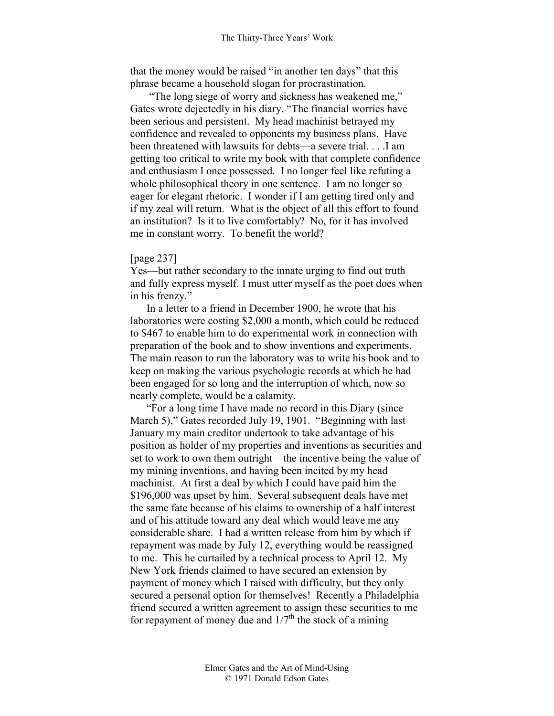that the money would be raised "in another ten days" that this phrase became a household slogan for procrastination.

 "The long siege of worry and sickness has weakened me," Gates wrote dejectedly in his diary. "The financial worries have been serious and persistent. My head machinist betrayed my confidence and revealed to opponents my business plans. Have been threatened with lawsuits for debts—a severe trial. . . .I am getting too critical to write my book with that complete confidence and enthusiasm I once possessed. I no longer feel like refuting a whole philosophical theory in one sentence. I am no longer so eager for elegant rhetoric. I wonder if I am getting tired only and if my zeal will return. What is the object of all this effort to found an institution? Is it to live comfortably? No, for it has involved me in constant worry. To benefit the world?

# [page 237]

Yes—but rather secondary to the innate urging to find out truth and fully express myself. I must utter myself as the poet does when in his frenzy."

In a letter to a friend in December 1900, he wrote that his laboratories were costing \$2,000 a month, which could be reduced to \$467 to enable him to do experimental work in connection with preparation of the book and to show inventions and experiments. The main reason to run the laboratory was to write his book and to keep on making the various psychologic records at which he had been engaged for so long and the interruption of which, now so nearly complete, would be a calamity.

"For a long time I have made no record in this Diary (since March 5)," Gates recorded July 19, 1901. "Beginning with last January my main creditor undertook to take advantage of his position as holder of my properties and inventions as securities and set to work to own them outright—the incentive being the value of my mining inventions, and having been incited by my head machinist. At first a deal by which I could have paid him the \$196,000 was upset by him. Several subsequent deals have met the same fate because of his claims to ownership of a half interest and of his attitude toward any deal which would leave me any considerable share. I had a written release from him by which if repayment was made by July 12, everything would be reassigned to me. This he curtailed by a technical process to April 12. My New York friends claimed to have secured an extension by payment of money which I raised with difficulty, but they only secured a personal option for themselves! Recently a Philadelphia friend secured a written agreement to assign these securities to me for repayment of money due and  $1/7<sup>th</sup>$  the stock of a mining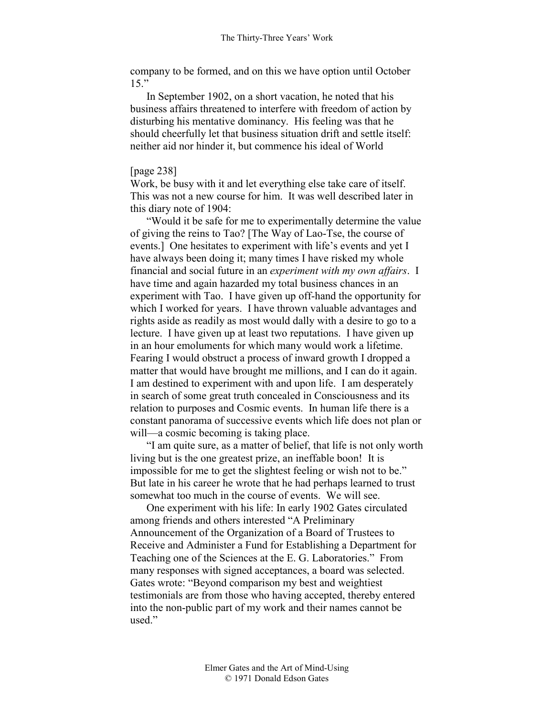company to be formed, and on this we have option until October  $15$ "

In September 1902, on a short vacation, he noted that his business affairs threatened to interfere with freedom of action by disturbing his mentative dominancy. His feeling was that he should cheerfully let that business situation drift and settle itself: neither aid nor hinder it, but commence his ideal of World

### [page 238]

Work, be busy with it and let everything else take care of itself. This was not a new course for him. It was well described later in this diary note of 1904:

"Would it be safe for me to experimentally determine the value of giving the reins to Tao? [The Way of Lao-Tse, the course of events.] One hesitates to experiment with life's events and yet I have always been doing it; many times I have risked my whole financial and social future in an *experiment with my own affairs*. I have time and again hazarded my total business chances in an experiment with Tao. I have given up off-hand the opportunity for which I worked for years. I have thrown valuable advantages and rights aside as readily as most would dally with a desire to go to a lecture. I have given up at least two reputations. I have given up in an hour emoluments for which many would work a lifetime. Fearing I would obstruct a process of inward growth I dropped a matter that would have brought me millions, and I can do it again. I am destined to experiment with and upon life. I am desperately in search of some great truth concealed in Consciousness and its relation to purposes and Cosmic events. In human life there is a constant panorama of successive events which life does not plan or will—a cosmic becoming is taking place.

"I am quite sure, as a matter of belief, that life is not only worth living but is the one greatest prize, an ineffable boon! It is impossible for me to get the slightest feeling or wish not to be." But late in his career he wrote that he had perhaps learned to trust somewhat too much in the course of events. We will see.

One experiment with his life: In early 1902 Gates circulated among friends and others interested "A Preliminary Announcement of the Organization of a Board of Trustees to Receive and Administer a Fund for Establishing a Department for Teaching one of the Sciences at the E. G. Laboratories." From many responses with signed acceptances, a board was selected. Gates wrote: "Beyond comparison my best and weightiest testimonials are from those who having accepted, thereby entered into the non-public part of my work and their names cannot be used."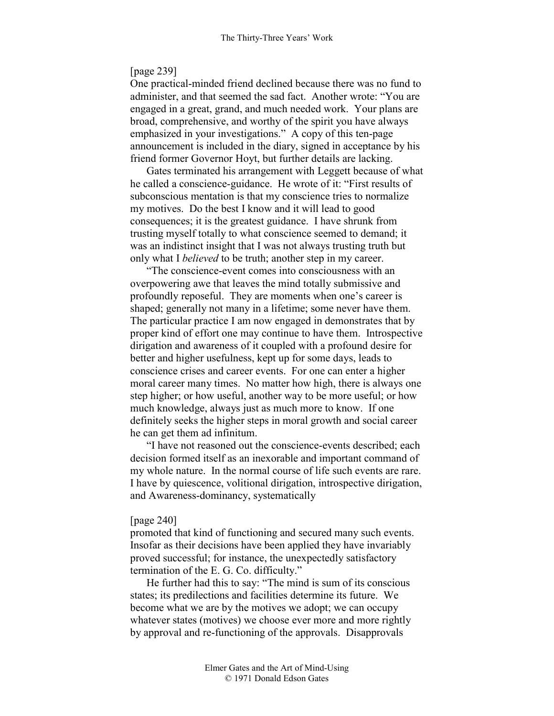## [page 239]

One practical-minded friend declined because there was no fund to administer, and that seemed the sad fact. Another wrote: "You are engaged in a great, grand, and much needed work. Your plans are broad, comprehensive, and worthy of the spirit you have always emphasized in your investigations." A copy of this ten-page announcement is included in the diary, signed in acceptance by his friend former Governor Hoyt, but further details are lacking.

Gates terminated his arrangement with Leggett because of what he called a conscience-guidance. He wrote of it: "First results of subconscious mentation is that my conscience tries to normalize my motives. Do the best I know and it will lead to good consequences; it is the greatest guidance. I have shrunk from trusting myself totally to what conscience seemed to demand; it was an indistinct insight that I was not always trusting truth but only what I *believed* to be truth; another step in my career.

"The conscience-event comes into consciousness with an overpowering awe that leaves the mind totally submissive and profoundly reposeful. They are moments when one's career is shaped; generally not many in a lifetime; some never have them. The particular practice I am now engaged in demonstrates that by proper kind of effort one may continue to have them. Introspective dirigation and awareness of it coupled with a profound desire for better and higher usefulness, kept up for some days, leads to conscience crises and career events. For one can enter a higher moral career many times. No matter how high, there is always one step higher; or how useful, another way to be more useful; or how much knowledge, always just as much more to know. If one definitely seeks the higher steps in moral growth and social career he can get them ad infinitum.

"I have not reasoned out the conscience-events described; each decision formed itself as an inexorable and important command of my whole nature. In the normal course of life such events are rare. I have by quiescence, volitional dirigation, introspective dirigation, and Awareness-dominancy, systematically

#### [page 240]

promoted that kind of functioning and secured many such events. Insofar as their decisions have been applied they have invariably proved successful; for instance, the unexpectedly satisfactory termination of the E. G. Co. difficulty."

He further had this to say: "The mind is sum of its conscious states; its predilections and facilities determine its future. We become what we are by the motives we adopt; we can occupy whatever states (motives) we choose ever more and more rightly by approval and re-functioning of the approvals. Disapprovals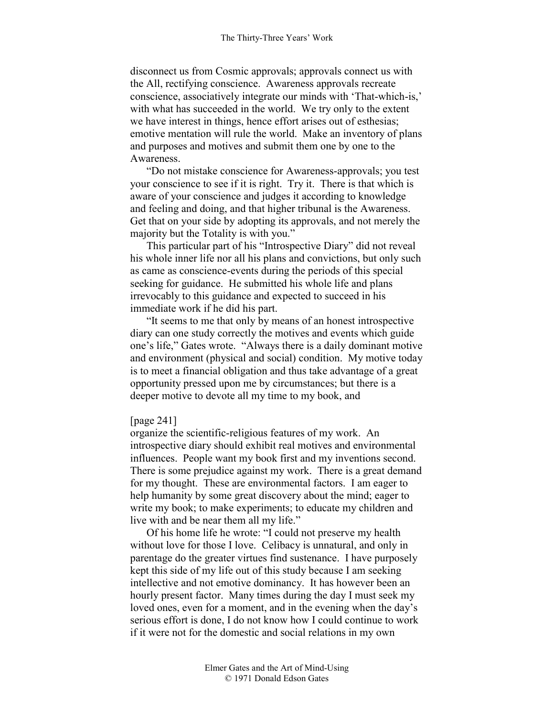disconnect us from Cosmic approvals; approvals connect us with the All, rectifying conscience. Awareness approvals recreate conscience, associatively integrate our minds with 'That-which-is,' with what has succeeded in the world. We try only to the extent we have interest in things, hence effort arises out of esthesias; emotive mentation will rule the world. Make an inventory of plans and purposes and motives and submit them one by one to the Awareness.

"Do not mistake conscience for Awareness-approvals; you test your conscience to see if it is right. Try it. There is that which is aware of your conscience and judges it according to knowledge and feeling and doing, and that higher tribunal is the Awareness. Get that on your side by adopting its approvals, and not merely the majority but the Totality is with you."

This particular part of his "Introspective Diary" did not reveal his whole inner life nor all his plans and convictions, but only such as came as conscience-events during the periods of this special seeking for guidance. He submitted his whole life and plans irrevocably to this guidance and expected to succeed in his immediate work if he did his part.

"It seems to me that only by means of an honest introspective diary can one study correctly the motives and events which guide one's life," Gates wrote. "Always there is a daily dominant motive and environment (physical and social) condition. My motive today is to meet a financial obligation and thus take advantage of a great opportunity pressed upon me by circumstances; but there is a deeper motive to devote all my time to my book, and

### [page 241]

organize the scientific-religious features of my work. An introspective diary should exhibit real motives and environmental influences. People want my book first and my inventions second. There is some prejudice against my work. There is a great demand for my thought. These are environmental factors. I am eager to help humanity by some great discovery about the mind; eager to write my book; to make experiments; to educate my children and live with and be near them all my life."

Of his home life he wrote: "I could not preserve my health without love for those I love. Celibacy is unnatural, and only in parentage do the greater virtues find sustenance. I have purposely kept this side of my life out of this study because I am seeking intellective and not emotive dominancy. It has however been an hourly present factor. Many times during the day I must seek my loved ones, even for a moment, and in the evening when the day's serious effort is done, I do not know how I could continue to work if it were not for the domestic and social relations in my own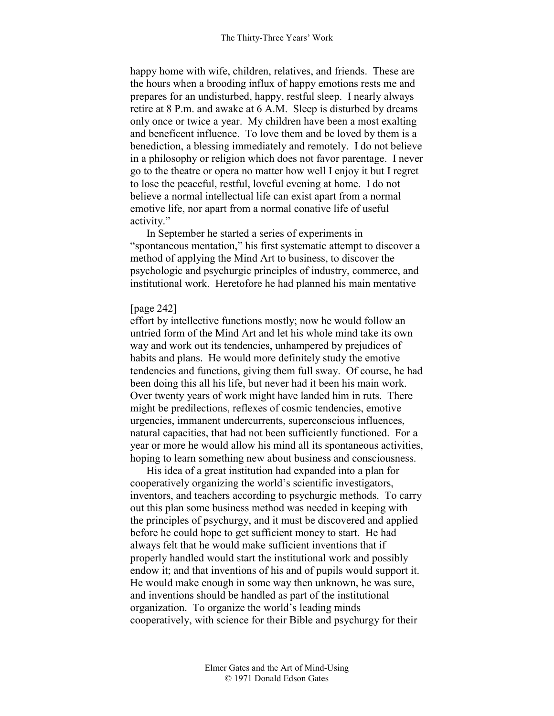happy home with wife, children, relatives, and friends. These are the hours when a brooding influx of happy emotions rests me and prepares for an undisturbed, happy, restful sleep. I nearly always retire at 8 P.m. and awake at 6 A.M. Sleep is disturbed by dreams only once or twice a year. My children have been a most exalting and beneficent influence. To love them and be loved by them is a benediction, a blessing immediately and remotely. I do not believe in a philosophy or religion which does not favor parentage. I never go to the theatre or opera no matter how well I enjoy it but I regret to lose the peaceful, restful, loveful evening at home. I do not believe a normal intellectual life can exist apart from a normal emotive life, nor apart from a normal conative life of useful activity."

In September he started a series of experiments in "spontaneous mentation," his first systematic attempt to discover a method of applying the Mind Art to business, to discover the psychologic and psychurgic principles of industry, commerce, and institutional work. Heretofore he had planned his main mentative

## [page 242]

effort by intellective functions mostly; now he would follow an untried form of the Mind Art and let his whole mind take its own way and work out its tendencies, unhampered by prejudices of habits and plans. He would more definitely study the emotive tendencies and functions, giving them full sway. Of course, he had been doing this all his life, but never had it been his main work. Over twenty years of work might have landed him in ruts. There might be predilections, reflexes of cosmic tendencies, emotive urgencies, immanent undercurrents, superconscious influences, natural capacities, that had not been sufficiently functioned. For a year or more he would allow his mind all its spontaneous activities, hoping to learn something new about business and consciousness.

His idea of a great institution had expanded into a plan for cooperatively organizing the world's scientific investigators, inventors, and teachers according to psychurgic methods. To carry out this plan some business method was needed in keeping with the principles of psychurgy, and it must be discovered and applied before he could hope to get sufficient money to start. He had always felt that he would make sufficient inventions that if properly handled would start the institutional work and possibly endow it; and that inventions of his and of pupils would support it. He would make enough in some way then unknown, he was sure, and inventions should be handled as part of the institutional organization. To organize the world's leading minds cooperatively, with science for their Bible and psychurgy for their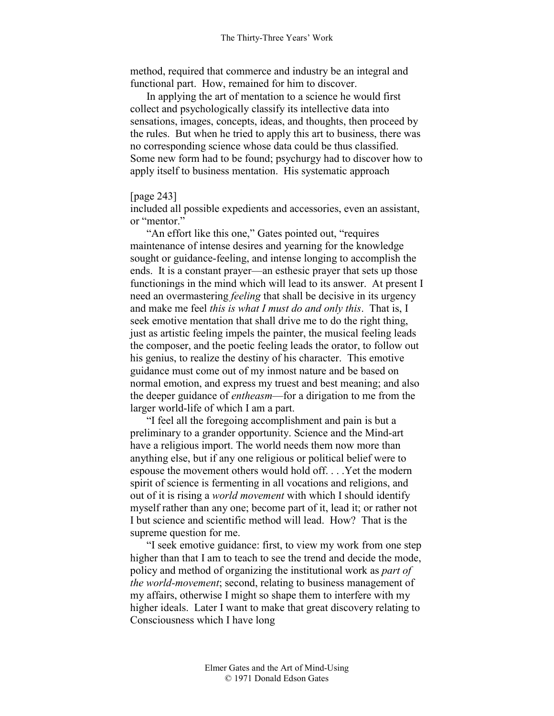method, required that commerce and industry be an integral and functional part. How, remained for him to discover.

In applying the art of mentation to a science he would first collect and psychologically classify its intellective data into sensations, images, concepts, ideas, and thoughts, then proceed by the rules. But when he tried to apply this art to business, there was no corresponding science whose data could be thus classified. Some new form had to be found; psychurgy had to discover how to apply itself to business mentation. His systematic approach

## [page 243]

included all possible expedients and accessories, even an assistant, or "mentor."

"An effort like this one," Gates pointed out, "requires maintenance of intense desires and yearning for the knowledge sought or guidance-feeling, and intense longing to accomplish the ends. It is a constant prayer—an esthesic prayer that sets up those functionings in the mind which will lead to its answer. At present I need an overmastering *feeling* that shall be decisive in its urgency and make me feel *this is what I must do and only this*. That is, I seek emotive mentation that shall drive me to do the right thing, just as artistic feeling impels the painter, the musical feeling leads the composer, and the poetic feeling leads the orator, to follow out his genius, to realize the destiny of his character. This emotive guidance must come out of my inmost nature and be based on normal emotion, and express my truest and best meaning; and also the deeper guidance of *entheasm*—for a dirigation to me from the larger world-life of which I am a part.

"I feel all the foregoing accomplishment and pain is but a preliminary to a grander opportunity. Science and the Mind-art have a religious import. The world needs them now more than anything else, but if any one religious or political belief were to espouse the movement others would hold off. . . .Yet the modern spirit of science is fermenting in all vocations and religions, and out of it is rising a *world movement* with which I should identify myself rather than any one; become part of it, lead it; or rather not I but science and scientific method will lead. How? That is the supreme question for me.

"I seek emotive guidance: first, to view my work from one step higher than that I am to teach to see the trend and decide the mode, policy and method of organizing the institutional work as *part of the world-movement*; second, relating to business management of my affairs, otherwise I might so shape them to interfere with my higher ideals. Later I want to make that great discovery relating to Consciousness which I have long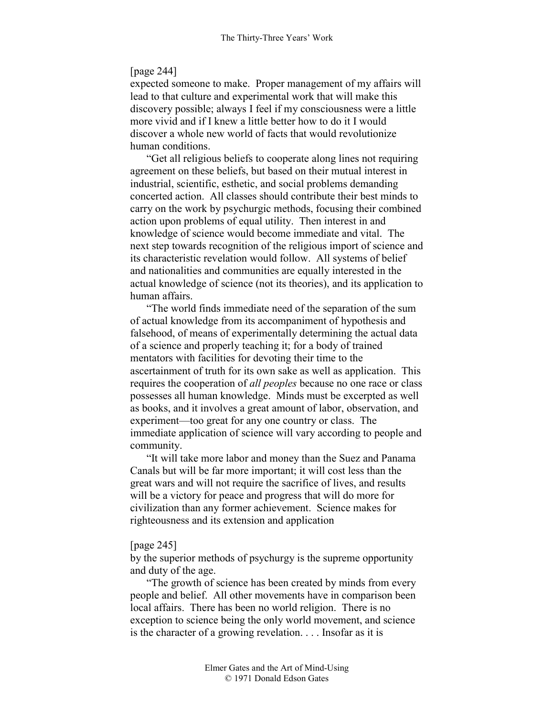# [page 244]

expected someone to make. Proper management of my affairs will lead to that culture and experimental work that will make this discovery possible; always I feel if my consciousness were a little more vivid and if I knew a little better how to do it I would discover a whole new world of facts that would revolutionize human conditions.

"Get all religious beliefs to cooperate along lines not requiring agreement on these beliefs, but based on their mutual interest in industrial, scientific, esthetic, and social problems demanding concerted action. All classes should contribute their best minds to carry on the work by psychurgic methods, focusing their combined action upon problems of equal utility. Then interest in and knowledge of science would become immediate and vital. The next step towards recognition of the religious import of science and its characteristic revelation would follow. All systems of belief and nationalities and communities are equally interested in the actual knowledge of science (not its theories), and its application to human affairs.

"The world finds immediate need of the separation of the sum of actual knowledge from its accompaniment of hypothesis and falsehood, of means of experimentally determining the actual data of a science and properly teaching it; for a body of trained mentators with facilities for devoting their time to the ascertainment of truth for its own sake as well as application. This requires the cooperation of *all peoples* because no one race or class possesses all human knowledge. Minds must be excerpted as well as books, and it involves a great amount of labor, observation, and experiment—too great for any one country or class. The immediate application of science will vary according to people and community.

"It will take more labor and money than the Suez and Panama Canals but will be far more important; it will cost less than the great wars and will not require the sacrifice of lives, and results will be a victory for peace and progress that will do more for civilization than any former achievement. Science makes for righteousness and its extension and application

# [page 245]

by the superior methods of psychurgy is the supreme opportunity and duty of the age.

"The growth of science has been created by minds from every people and belief. All other movements have in comparison been local affairs. There has been no world religion. There is no exception to science being the only world movement, and science is the character of a growing revelation. . . . Insofar as it is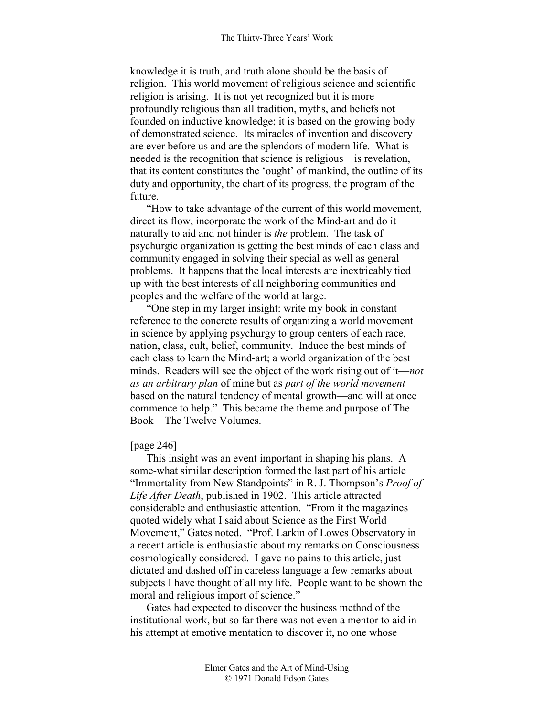knowledge it is truth, and truth alone should be the basis of religion. This world movement of religious science and scientific religion is arising. It is not yet recognized but it is more profoundly religious than all tradition, myths, and beliefs not founded on inductive knowledge; it is based on the growing body of demonstrated science. Its miracles of invention and discovery are ever before us and are the splendors of modern life. What is needed is the recognition that science is religious—is revelation, that its content constitutes the 'ought' of mankind, the outline of its duty and opportunity, the chart of its progress, the program of the future.

"How to take advantage of the current of this world movement, direct its flow, incorporate the work of the Mind-art and do it naturally to aid and not hinder is *the* problem. The task of psychurgic organization is getting the best minds of each class and community engaged in solving their special as well as general problems. It happens that the local interests are inextricably tied up with the best interests of all neighboring communities and peoples and the welfare of the world at large.

"One step in my larger insight: write my book in constant reference to the concrete results of organizing a world movement in science by applying psychurgy to group centers of each race, nation, class, cult, belief, community. Induce the best minds of each class to learn the Mind-art; a world organization of the best minds. Readers will see the object of the work rising out of it—*not as an arbitrary plan* of mine but as *part of the world movement* based on the natural tendency of mental growth—and will at once commence to help." This became the theme and purpose of The Book—The Twelve Volumes.

## [page 246]

This insight was an event important in shaping his plans. A some-what similar description formed the last part of his article "Immortality from New Standpoints" in R. J. Thompson's *Proof of Life After Death*, published in 1902. This article attracted considerable and enthusiastic attention. "From it the magazines quoted widely what I said about Science as the First World Movement," Gates noted. "Prof. Larkin of Lowes Observatory in a recent article is enthusiastic about my remarks on Consciousness cosmologically considered. I gave no pains to this article, just dictated and dashed off in careless language a few remarks about subjects I have thought of all my life. People want to be shown the moral and religious import of science."

Gates had expected to discover the business method of the institutional work, but so far there was not even a mentor to aid in his attempt at emotive mentation to discover it, no one whose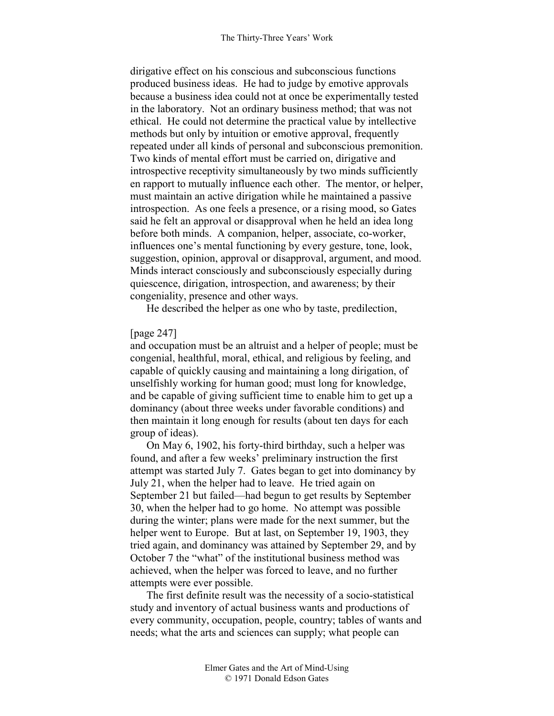dirigative effect on his conscious and subconscious functions produced business ideas. He had to judge by emotive approvals because a business idea could not at once be experimentally tested in the laboratory. Not an ordinary business method; that was not ethical. He could not determine the practical value by intellective methods but only by intuition or emotive approval, frequently repeated under all kinds of personal and subconscious premonition. Two kinds of mental effort must be carried on, dirigative and introspective receptivity simultaneously by two minds sufficiently en rapport to mutually influence each other. The mentor, or helper, must maintain an active dirigation while he maintained a passive introspection. As one feels a presence, or a rising mood, so Gates said he felt an approval or disapproval when he held an idea long before both minds. A companion, helper, associate, co-worker, influences one's mental functioning by every gesture, tone, look, suggestion, opinion, approval or disapproval, argument, and mood. Minds interact consciously and subconsciously especially during quiescence, dirigation, introspection, and awareness; by their congeniality, presence and other ways.

He described the helper as one who by taste, predilection,

# [page 247]

and occupation must be an altruist and a helper of people; must be congenial, healthful, moral, ethical, and religious by feeling, and capable of quickly causing and maintaining a long dirigation, of unselfishly working for human good; must long for knowledge, and be capable of giving sufficient time to enable him to get up a dominancy (about three weeks under favorable conditions) and then maintain it long enough for results (about ten days for each group of ideas).

On May 6, 1902, his forty-third birthday, such a helper was found, and after a few weeks' preliminary instruction the first attempt was started July 7. Gates began to get into dominancy by July 21, when the helper had to leave. He tried again on September 21 but failed—had begun to get results by September 30, when the helper had to go home. No attempt was possible during the winter; plans were made for the next summer, but the helper went to Europe. But at last, on September 19, 1903, they tried again, and dominancy was attained by September 29, and by October 7 the "what" of the institutional business method was achieved, when the helper was forced to leave, and no further attempts were ever possible.

The first definite result was the necessity of a socio-statistical study and inventory of actual business wants and productions of every community, occupation, people, country; tables of wants and needs; what the arts and sciences can supply; what people can